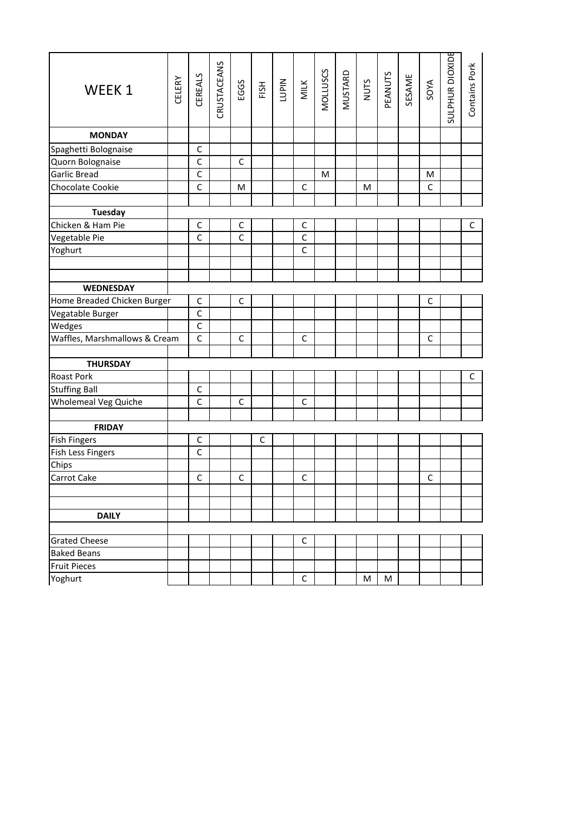| WEEK 1                                   | CELERY | CEREALS      | CRUSTACEANS | EGGS         | FISH        | <b>NIdn1</b> | MILK         | MOLLUSCS | MUSTARD<br>NUTS |   | PEANUTS | SESAME | SOYA        | SULPHUR DIOXIDE | Contains Pork |
|------------------------------------------|--------|--------------|-------------|--------------|-------------|--------------|--------------|----------|-----------------|---|---------|--------|-------------|-----------------|---------------|
| <b>MONDAY</b>                            |        |              |             |              |             |              |              |          |                 |   |         |        |             |                 |               |
| Spaghetti Bolognaise                     |        | $\mathsf C$  |             |              |             |              |              |          |                 |   |         |        |             |                 |               |
| Quorn Bolognaise                         |        | $\mathsf C$  |             | C            |             |              |              |          |                 |   |         |        |             |                 |               |
| Garlic Bread                             |        | $\mathsf{C}$ |             |              |             |              |              | M        |                 |   |         |        | M           |                 |               |
| Chocolate Cookie                         |        | $\mathsf{C}$ |             | M            |             |              | $\mathsf C$  |          |                 | M |         |        | $\mathsf C$ |                 |               |
|                                          |        |              |             |              |             |              |              |          |                 |   |         |        |             |                 |               |
| <b>Tuesday</b>                           |        |              |             |              |             |              |              |          |                 |   |         |        |             |                 |               |
| Chicken & Ham Pie                        |        | $\mathsf C$  |             | $\mathsf C$  |             |              | $\mathsf C$  |          |                 |   |         |        |             |                 | C             |
| Vegetable Pie                            |        | $\mathsf C$  |             | $\mathsf{C}$ |             |              | $\mathsf C$  |          |                 |   |         |        |             |                 |               |
| Yoghurt                                  |        |              |             |              |             |              | $\mathsf{C}$ |          |                 |   |         |        |             |                 |               |
|                                          |        |              |             |              |             |              |              |          |                 |   |         |        |             |                 |               |
|                                          |        |              |             |              |             |              |              |          |                 |   |         |        |             |                 |               |
| <b>WEDNESDAY</b>                         |        |              |             |              |             |              |              |          |                 |   |         |        |             |                 |               |
| Home Breaded Chicken Burger              |        | $\mathsf C$  |             | $\mathsf{C}$ |             |              |              |          |                 |   |         |        | $\mathsf C$ |                 |               |
| Vegatable Burger                         |        | $\mathsf{C}$ |             |              |             |              |              |          |                 |   |         |        |             |                 |               |
| Wedges                                   |        | $\mathsf C$  |             |              |             |              |              |          |                 |   |         |        |             |                 |               |
| Waffles, Marshmallows & Cream            |        | $\mathsf C$  |             | C            |             |              | $\mathsf C$  |          |                 |   |         |        | $\mathsf C$ |                 |               |
|                                          |        |              |             |              |             |              |              |          |                 |   |         |        |             |                 |               |
| <b>THURSDAY</b>                          |        |              |             |              |             |              |              |          |                 |   |         |        |             |                 |               |
| <b>Roast Pork</b>                        |        |              |             |              |             |              |              |          |                 |   |         |        |             |                 | $\mathsf C$   |
| <b>Stuffing Ball</b>                     |        | $\mathsf C$  |             |              |             |              |              |          |                 |   |         |        |             |                 |               |
| Wholemeal Veg Quiche                     |        | $\mathsf C$  |             | $\mathsf{C}$ |             |              | $\mathsf C$  |          |                 |   |         |        |             |                 |               |
|                                          |        |              |             |              |             |              |              |          |                 |   |         |        |             |                 |               |
| <b>FRIDAY</b>                            |        | C            |             |              | $\mathsf C$ |              |              |          |                 |   |         |        |             |                 |               |
| <b>Fish Fingers</b><br>Fish Less Fingers |        | $\mathsf{C}$ |             |              |             |              |              |          |                 |   |         |        |             |                 |               |
| Chips                                    |        |              |             |              |             |              |              |          |                 |   |         |        |             |                 |               |
| Carrot Cake                              |        | $\mathsf C$  |             | $\mathsf{C}$ |             |              | $\mathsf C$  |          |                 |   |         |        | $\mathsf C$ |                 |               |
|                                          |        |              |             |              |             |              |              |          |                 |   |         |        |             |                 |               |
|                                          |        |              |             |              |             |              |              |          |                 |   |         |        |             |                 |               |
| <b>DAILY</b>                             |        |              |             |              |             |              |              |          |                 |   |         |        |             |                 |               |
|                                          |        |              |             |              |             |              |              |          |                 |   |         |        |             |                 |               |
| <b>Grated Cheese</b>                     |        |              |             |              |             |              | $\mathsf C$  |          |                 |   |         |        |             |                 |               |
| <b>Baked Beans</b>                       |        |              |             |              |             |              |              |          |                 |   |         |        |             |                 |               |
| <b>Fruit Pieces</b>                      |        |              |             |              |             |              |              |          |                 |   |         |        |             |                 |               |
| Yoghurt                                  |        |              |             |              |             |              | $\mathsf C$  |          |                 | M | M       |        |             |                 |               |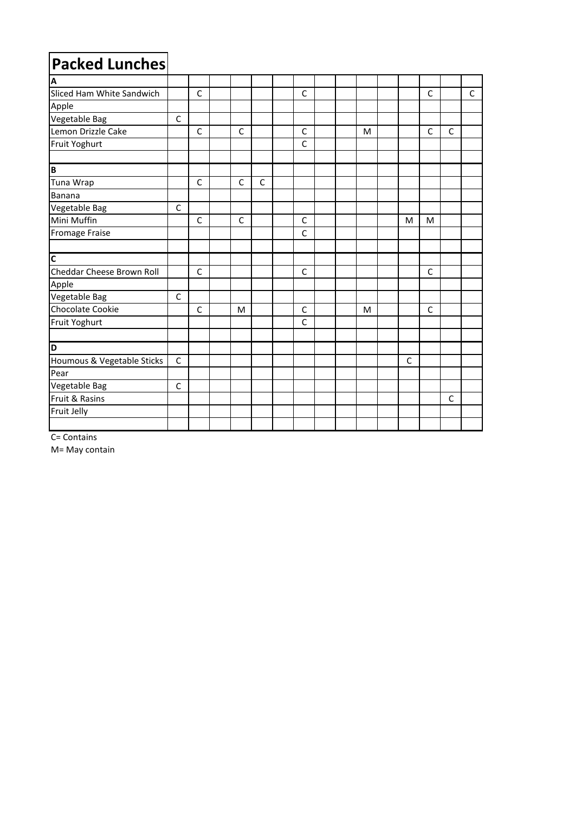| <b>Packed Lunches</b>      |              |              |              |   |              |  |   |              |              |              |              |
|----------------------------|--------------|--------------|--------------|---|--------------|--|---|--------------|--------------|--------------|--------------|
| A                          |              |              |              |   |              |  |   |              |              |              |              |
| Sliced Ham White Sandwich  |              | $\mathsf{C}$ |              |   | $\mathsf{C}$ |  |   |              | $\mathsf{C}$ |              | $\mathsf{C}$ |
| Apple                      |              |              |              |   |              |  |   |              |              |              |              |
| Vegetable Bag              | C            |              |              |   |              |  |   |              |              |              |              |
| Lemon Drizzle Cake         |              | $\mathsf{C}$ | $\mathsf{C}$ |   | $\mathsf{C}$ |  | M |              | $\mathsf{C}$ | $\mathsf{C}$ |              |
| Fruit Yoghurt              |              |              |              |   | $\mathsf{C}$ |  |   |              |              |              |              |
| B                          |              |              |              |   |              |  |   |              |              |              |              |
| Tuna Wrap                  |              | $\mathsf{C}$ | C            | C |              |  |   |              |              |              |              |
| Banana                     |              |              |              |   |              |  |   |              |              |              |              |
| Vegetable Bag              | $\mathsf{C}$ |              |              |   |              |  |   |              |              |              |              |
| Mini Muffin                |              | $\mathsf{C}$ | $\mathsf{C}$ |   | $\mathsf{C}$ |  |   | M            | M            |              |              |
| Fromage Fraise             |              |              |              |   | $\mathsf C$  |  |   |              |              |              |              |
|                            |              |              |              |   |              |  |   |              |              |              |              |
| $\overline{\mathsf{c}}$    |              |              |              |   |              |  |   |              |              |              |              |
| Cheddar Cheese Brown Roll  |              | $\mathsf{C}$ |              |   | $\mathsf{C}$ |  |   |              | $\mathsf{C}$ |              |              |
| Apple                      |              |              |              |   |              |  |   |              |              |              |              |
| Vegetable Bag              | $\mathsf{C}$ |              |              |   |              |  |   |              |              |              |              |
| Chocolate Cookie           |              | $\mathsf{C}$ | M            |   | $\mathsf{C}$ |  | M |              | $\mathsf{C}$ |              |              |
| Fruit Yoghurt              |              |              |              |   | $\mathsf{C}$ |  |   |              |              |              |              |
|                            |              |              |              |   |              |  |   |              |              |              |              |
| D                          |              |              |              |   |              |  |   |              |              |              |              |
| Houmous & Vegetable Sticks | $\mathsf{C}$ |              |              |   |              |  |   | $\mathsf{C}$ |              |              |              |
| Pear                       |              |              |              |   |              |  |   |              |              |              |              |
| Vegetable Bag              | $\mathsf{C}$ |              |              |   |              |  |   |              |              |              |              |
| Fruit & Rasins             |              |              |              |   |              |  |   |              |              | $\mathsf{C}$ |              |
| Fruit Jelly                |              |              |              |   |              |  |   |              |              |              |              |
|                            |              |              |              |   |              |  |   |              |              |              |              |

C= Contains

M= May contain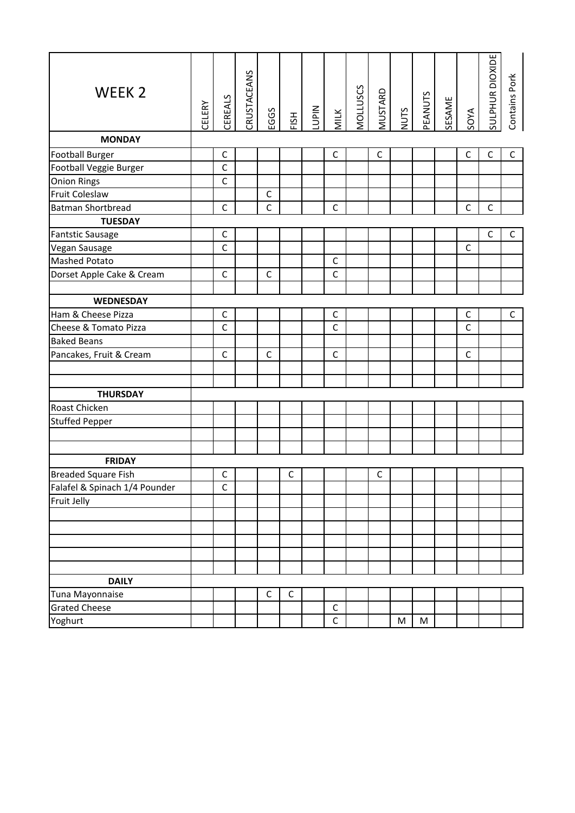| WEEK <sub>2</sub>             | CELERY | CEREALS      | CRUSTACEANS | EGGS         | FISH        | <b>NIdD1</b> | MILK         | MOLLUSCS | MUSTARD     | NUTS | <b>PEANUTS</b> | SESAME | SOYA         | SULPHUR DIOXIDE | Contains Pork |
|-------------------------------|--------|--------------|-------------|--------------|-------------|--------------|--------------|----------|-------------|------|----------------|--------|--------------|-----------------|---------------|
| <b>MONDAY</b>                 |        |              |             |              |             |              |              |          |             |      |                |        |              |                 |               |
| <b>Football Burger</b>        |        | $\mathsf{C}$ |             |              |             |              | $\mathsf C$  |          | $\mathsf C$ |      |                |        | $\mathsf C$  | $\mathsf{C}$    | $\mathsf{C}$  |
| Football Veggie Burger        |        | $\mathsf{C}$ |             |              |             |              |              |          |             |      |                |        |              |                 |               |
| <b>Onion Rings</b>            |        | $\mathsf{C}$ |             |              |             |              |              |          |             |      |                |        |              |                 |               |
| Fruit Coleslaw                |        |              |             | $\mathsf C$  |             |              |              |          |             |      |                |        |              |                 |               |
| <b>Batman Shortbread</b>      |        | $\mathsf C$  |             | $\mathsf{C}$ |             |              | $\mathsf{C}$ |          |             |      |                |        | $\mathsf C$  | $\mathsf C$     |               |
| <b>TUESDAY</b>                |        |              |             |              |             |              |              |          |             |      |                |        |              |                 |               |
| <b>Fantstic Sausage</b>       |        | $\mathsf{C}$ |             |              |             |              |              |          |             |      |                |        |              | $\mathsf{C}$    | $\mathsf C$   |
| Vegan Sausage                 |        | $\mathsf{C}$ |             |              |             |              |              |          |             |      |                |        | $\mathsf{C}$ |                 |               |
| <b>Mashed Potato</b>          |        |              |             |              |             |              | $\mathsf{C}$ |          |             |      |                |        |              |                 |               |
| Dorset Apple Cake & Cream     |        | $\mathsf{C}$ |             | $\mathsf{C}$ |             |              | $\mathsf C$  |          |             |      |                |        |              |                 |               |
|                               |        |              |             |              |             |              |              |          |             |      |                |        |              |                 |               |
| <b>WEDNESDAY</b>              |        |              |             |              |             |              |              |          |             |      |                |        |              |                 |               |
| Ham & Cheese Pizza            |        | $\mathsf C$  |             |              |             |              | $\mathsf{C}$ |          |             |      |                |        | $\mathsf C$  |                 | $\mathsf{C}$  |
| Cheese & Tomato Pizza         |        | C            |             |              |             |              | $\mathsf{C}$ |          |             |      |                |        | $\mathsf{C}$ |                 |               |
| <b>Baked Beans</b>            |        |              |             |              |             |              |              |          |             |      |                |        |              |                 |               |
| Pancakes, Fruit & Cream       |        | $\mathsf{C}$ |             | $\mathsf{C}$ |             |              | $\mathsf{C}$ |          |             |      |                |        | $\mathsf{C}$ |                 |               |
|                               |        |              |             |              |             |              |              |          |             |      |                |        |              |                 |               |
| <b>THURSDAY</b>               |        |              |             |              |             |              |              |          |             |      |                |        |              |                 |               |
| Roast Chicken                 |        |              |             |              |             |              |              |          |             |      |                |        |              |                 |               |
| <b>Stuffed Pepper</b>         |        |              |             |              |             |              |              |          |             |      |                |        |              |                 |               |
|                               |        |              |             |              |             |              |              |          |             |      |                |        |              |                 |               |
|                               |        |              |             |              |             |              |              |          |             |      |                |        |              |                 |               |
| <b>FRIDAY</b>                 |        |              |             |              |             |              |              |          |             |      |                |        |              |                 |               |
| <b>Breaded Square Fish</b>    |        | $\mathsf C$  |             |              | $\mathsf C$ |              |              |          | C           |      |                |        |              |                 |               |
| Falafel & Spinach 1/4 Pounder |        | $\mathsf C$  |             |              |             |              |              |          |             |      |                |        |              |                 |               |
| Fruit Jelly                   |        |              |             |              |             |              |              |          |             |      |                |        |              |                 |               |
|                               |        |              |             |              |             |              |              |          |             |      |                |        |              |                 |               |
|                               |        |              |             |              |             |              |              |          |             |      |                |        |              |                 |               |
|                               |        |              |             |              |             |              |              |          |             |      |                |        |              |                 |               |
|                               |        |              |             |              |             |              |              |          |             |      |                |        |              |                 |               |
|                               |        |              |             |              |             |              |              |          |             |      |                |        |              |                 |               |
| <b>DAILY</b>                  |        |              |             |              |             |              |              |          |             |      |                |        |              |                 |               |
| Tuna Mayonnaise               |        |              |             | $\mathsf C$  | $\mathsf C$ |              |              |          |             |      |                |        |              |                 |               |
| <b>Grated Cheese</b>          |        |              |             |              |             |              | $\mathsf C$  |          |             |      |                |        |              |                 |               |
| Yoghurt                       |        |              |             |              |             |              | $\mathsf{C}$ |          |             | M    | ${\sf M}$      |        |              |                 |               |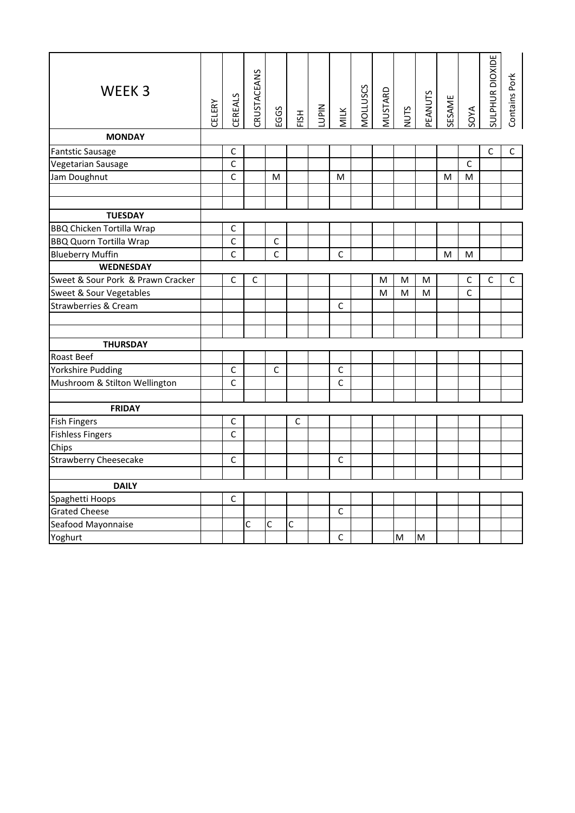| WEEK <sub>3</sub><br><b>MONDAY</b> | CELERY | CEREALS        | CRUSTACEANS | EGGS         | FISH | <b>NIdri</b> | <b>MILK</b>    | MOLLUSCS | <b>MUSTARD</b> | NUTS | PEANUTS | SESAME | <b>SOYA</b>  | SULPHUR DIOXIDE | Contains Pork |
|------------------------------------|--------|----------------|-------------|--------------|------|--------------|----------------|----------|----------------|------|---------|--------|--------------|-----------------|---------------|
|                                    |        |                |             |              |      |              |                |          |                |      |         |        |              |                 |               |
| <b>Fantstic Sausage</b>            |        | C              |             |              |      |              |                |          |                |      |         |        |              | $\mathsf{C}$    | C             |
| Vegetarian Sausage                 |        | $\overline{c}$ |             |              |      |              |                |          |                |      |         |        | $\mathsf{C}$ |                 |               |
| Jam Doughnut                       |        | $\mathsf{C}$   |             | M            |      |              | M              |          |                |      |         | M      | M            |                 |               |
|                                    |        |                |             |              |      |              |                |          |                |      |         |        |              |                 |               |
| <b>TUESDAY</b>                     |        |                |             |              |      |              |                |          |                |      |         |        |              |                 |               |
| <b>BBQ Chicken Tortilla Wrap</b>   |        | C              |             |              |      |              |                |          |                |      |         |        |              |                 |               |
| <b>BBQ Quorn Tortilla Wrap</b>     |        | C              |             | $\mathsf C$  |      |              |                |          |                |      |         |        |              |                 |               |
| <b>Blueberry Muffin</b>            |        | $\mathsf{C}$   |             | $\mathsf{C}$ |      |              | $\mathsf{C}$   |          |                |      |         | M      | M            |                 |               |
| <b>WEDNESDAY</b>                   |        |                |             |              |      |              |                |          |                |      |         |        |              |                 |               |
| Sweet & Sour Pork & Prawn Cracker  |        | $\mathsf{C}$   | C           |              |      |              |                |          | M              | M    | M       |        | $\mathsf{C}$ | $\mathsf{C}$    | C             |
| Sweet & Sour Vegetables            |        |                |             |              |      |              |                |          | M              | M    | M       |        | $\mathsf{C}$ |                 |               |
| Strawberries & Cream               |        |                |             |              |      |              | $\mathsf{C}$   |          |                |      |         |        |              |                 |               |
|                                    |        |                |             |              |      |              |                |          |                |      |         |        |              |                 |               |
|                                    |        |                |             |              |      |              |                |          |                |      |         |        |              |                 |               |
| <b>THURSDAY</b>                    |        |                |             |              |      |              |                |          |                |      |         |        |              |                 |               |
| <b>Roast Beef</b>                  |        |                |             |              |      |              |                |          |                |      |         |        |              |                 |               |
| Yorkshire Pudding                  |        | $\mathsf{C}$   |             | $\mathsf{C}$ |      |              | $\mathsf C$    |          |                |      |         |        |              |                 |               |
| Mushroom & Stilton Wellington      |        | $\mathsf{C}$   |             |              |      |              | $\mathsf{C}$   |          |                |      |         |        |              |                 |               |
| <b>FRIDAY</b>                      |        |                |             |              |      |              |                |          |                |      |         |        |              |                 |               |
| <b>Fish Fingers</b>                |        | C              |             |              | C    |              |                |          |                |      |         |        |              |                 |               |
| <b>Fishless Fingers</b>            |        | $\mathsf{C}$   |             |              |      |              |                |          |                |      |         |        |              |                 |               |
| Chips                              |        |                |             |              |      |              |                |          |                |      |         |        |              |                 |               |
| <b>Strawberry Cheesecake</b>       |        | $\mathsf{C}$   |             |              |      |              | $\overline{C}$ |          |                |      |         |        |              |                 |               |
|                                    |        |                |             |              |      |              |                |          |                |      |         |        |              |                 |               |
| <b>DAILY</b>                       |        |                |             |              |      |              |                |          |                |      |         |        |              |                 |               |
| Spaghetti Hoops                    |        | $\mathsf C$    |             |              |      |              |                |          |                |      |         |        |              |                 |               |
| <b>Grated Cheese</b>               |        |                |             |              |      |              | $\mathsf{C}$   |          |                |      |         |        |              |                 |               |
| Seafood Mayonnaise                 |        |                | Ċ           | C            | C    |              |                |          |                |      |         |        |              |                 |               |
| Yoghurt                            |        |                |             |              |      |              | $\mathsf C$    |          |                | M    | M       |        |              |                 |               |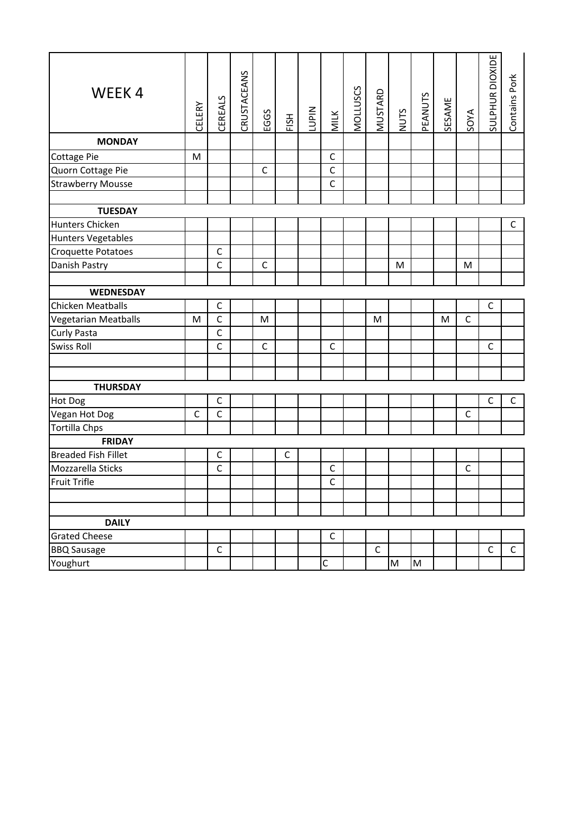| WEEK4                       | <b>CELERY</b> | CEREALS      | CRUSTACEANS | EGGS         | FISH        | <b>NIdO1</b> | MILK         | MOLLUSCS | <b>MUSTARD</b> | NUTS                                                                                                       | <b>PEANUTS</b> | <b>SESAME</b> | <b>SOYA</b> | SULPHUR DIOXIDE | Contains Pork |
|-----------------------------|---------------|--------------|-------------|--------------|-------------|--------------|--------------|----------|----------------|------------------------------------------------------------------------------------------------------------|----------------|---------------|-------------|-----------------|---------------|
| <b>MONDAY</b>               |               |              |             |              |             |              |              |          |                |                                                                                                            |                |               |             |                 |               |
| Cottage Pie                 | M             |              |             |              |             |              | $\mathsf C$  |          |                |                                                                                                            |                |               |             |                 |               |
| Quorn Cottage Pie           |               |              |             | $\mathsf C$  |             |              | $\mathsf C$  |          |                |                                                                                                            |                |               |             |                 |               |
| <b>Strawberry Mousse</b>    |               |              |             |              |             |              | $\mathsf C$  |          |                |                                                                                                            |                |               |             |                 |               |
|                             |               |              |             |              |             |              |              |          |                |                                                                                                            |                |               |             |                 |               |
| <b>TUESDAY</b>              |               |              |             |              |             |              |              |          |                |                                                                                                            |                |               |             |                 |               |
| Hunters Chicken             |               |              |             |              |             |              |              |          |                |                                                                                                            |                |               |             |                 | $\mathsf C$   |
| <b>Hunters Vegetables</b>   |               |              |             |              |             |              |              |          |                |                                                                                                            |                |               |             |                 |               |
| Croquette Potatoes          |               | $\mathsf{C}$ |             |              |             |              |              |          |                |                                                                                                            |                |               |             |                 |               |
| Danish Pastry               |               | $\mathsf{C}$ |             | $\mathsf{C}$ |             |              |              |          |                | M                                                                                                          |                |               | ${\sf M}$   |                 |               |
|                             |               |              |             |              |             |              |              |          |                |                                                                                                            |                |               |             |                 |               |
| <b>WEDNESDAY</b>            |               |              |             |              |             |              |              |          |                |                                                                                                            |                |               |             |                 |               |
| Chicken Meatballs           |               | $\mathsf C$  |             |              |             |              |              |          |                |                                                                                                            |                |               |             | $\mathsf{C}$    |               |
| <b>Vegetarian Meatballs</b> | M             | $\mathsf{C}$ |             | M            |             |              |              |          | M              |                                                                                                            |                | M             | $\mathsf C$ |                 |               |
| Curly Pasta                 |               | $\mathsf C$  |             |              |             |              |              |          |                |                                                                                                            |                |               |             |                 |               |
| <b>Swiss Roll</b>           |               | $\mathsf{C}$ |             | $\mathsf{C}$ |             |              | $\mathsf{C}$ |          |                |                                                                                                            |                |               |             | $\mathsf{C}$    |               |
|                             |               |              |             |              |             |              |              |          |                |                                                                                                            |                |               |             |                 |               |
|                             |               |              |             |              |             |              |              |          |                |                                                                                                            |                |               |             |                 |               |
| <b>THURSDAY</b>             |               |              |             |              |             |              |              |          |                |                                                                                                            |                |               |             |                 |               |
| Hot Dog                     |               | $\mathsf{C}$ |             |              |             |              |              |          |                |                                                                                                            |                |               |             | $\mathsf C$     | $\mathsf C$   |
| Vegan Hot Dog               | $\mathsf{C}$  | $\mathsf C$  |             |              |             |              |              |          |                |                                                                                                            |                |               | $\mathsf C$ |                 |               |
| <b>Tortilla Chps</b>        |               |              |             |              |             |              |              |          |                |                                                                                                            |                |               |             |                 |               |
| <b>FRIDAY</b>               |               |              |             |              |             |              |              |          |                |                                                                                                            |                |               |             |                 |               |
| <b>Breaded Fish Fillet</b>  |               | $\mathsf{C}$ |             |              | $\mathsf C$ |              |              |          |                |                                                                                                            |                |               |             |                 |               |
| Mozzarella Sticks           |               | $\mathsf C$  |             |              |             |              | $\mathsf C$  |          |                |                                                                                                            |                |               | $\mathsf C$ |                 |               |
| Fruit Trifle                |               |              |             |              |             |              | $\mathsf{C}$ |          |                |                                                                                                            |                |               |             |                 |               |
|                             |               |              |             |              |             |              |              |          |                |                                                                                                            |                |               |             |                 |               |
|                             |               |              |             |              |             |              |              |          |                |                                                                                                            |                |               |             |                 |               |
| <b>DAILY</b>                |               |              |             |              |             |              |              |          |                |                                                                                                            |                |               |             |                 |               |
| <b>Grated Cheese</b>        |               |              |             |              |             |              | $\mathsf C$  |          |                |                                                                                                            |                |               |             |                 |               |
| <b>BBQ Sausage</b>          |               | $\mathsf C$  |             |              |             |              |              |          | $\mathsf C$    |                                                                                                            |                |               |             | $\mathsf C$     | $\mathsf{C}$  |
| Youghurt                    |               |              |             |              |             |              | $\mathsf C$  |          |                | $\mathsf{M}% _{T}=\mathsf{M}_{T}\!\left( a,b\right) ,\ \mathsf{M}_{T}=\mathsf{M}_{T}\!\left( a,b\right) ,$ | M              |               |             |                 |               |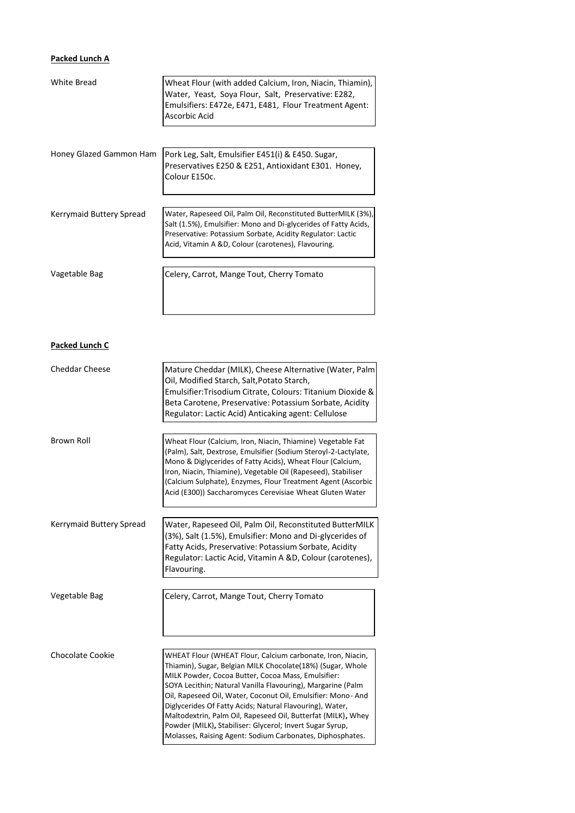## **Packed Lunch A**

| White Bread              | Wheat Flour (with added Calcium, Iron, Niacin, Thiamin),<br>Water, Yeast, Soya Flour, Salt, Preservative: E282,<br>Emulsifiers: E472e, E471, E481, Flour Treatment Agent:<br>Ascorbic Acid                                                                                                                                                                                                                                                                                                                                                                         |
|--------------------------|--------------------------------------------------------------------------------------------------------------------------------------------------------------------------------------------------------------------------------------------------------------------------------------------------------------------------------------------------------------------------------------------------------------------------------------------------------------------------------------------------------------------------------------------------------------------|
| Honey Glazed Gammon Ham  | Pork Leg, Salt, Emulsifier E451(i) & E450. Sugar,<br>Preservatives E250 & E251, Antioxidant E301. Honey,<br>Colour E150c.                                                                                                                                                                                                                                                                                                                                                                                                                                          |
| Kerrymaid Buttery Spread | Water, Rapeseed Oil, Palm Oil, Reconstituted ButterMILK (3%),<br>Salt (1.5%), Emulsifier: Mono and Di-glycerides of Fatty Acids,<br>Preservative: Potassium Sorbate, Acidity Regulator: Lactic<br>Acid, Vitamin A &D, Colour (carotenes), Flavouring.                                                                                                                                                                                                                                                                                                              |
| Vagetable Bag            | Celery, Carrot, Mange Tout, Cherry Tomato                                                                                                                                                                                                                                                                                                                                                                                                                                                                                                                          |
| Packed Lunch C           |                                                                                                                                                                                                                                                                                                                                                                                                                                                                                                                                                                    |
| <b>Cheddar Cheese</b>    | Mature Cheddar (MILK), Cheese Alternative (Water, Palm<br>Oil, Modified Starch, Salt, Potato Starch,<br>Emulsifier: Trisodium Citrate, Colours: Titanium Dioxide &<br>Beta Carotene, Preservative: Potassium Sorbate, Acidity<br>Regulator: Lactic Acid) Anticaking agent: Cellulose                                                                                                                                                                                                                                                                               |
| Brown Roll               | Wheat Flour (Calcium, Iron, Niacin, Thiamine) Vegetable Fat<br>(Palm), Salt, Dextrose, Emulsifier (Sodium Steroyl-2-Lactylate,<br>Mono & Diglycerides of Fatty Acids), Wheat Flour (Calcium,<br>Iron, Niacin, Thiamine), Vegetable Oil (Rapeseed), Stabiliser<br>(Calcium Sulphate), Enzymes, Flour Treatment Agent (Ascorbic<br>Acid (E300)) Saccharomyces Cerevisiae Wheat Gluten Water                                                                                                                                                                          |
| Kerrymaid Buttery Spread | Water, Rapeseed Oil, Palm Oil, Reconstituted ButterMILK<br>(3%), Salt (1.5%), Emulsifier: Mono and Di-glycerides of<br>Fatty Acids, Preservative: Potassium Sorbate, Acidity<br>Regulator: Lactic Acid, Vitamin A &D, Colour (carotenes),<br>Flavouring.                                                                                                                                                                                                                                                                                                           |
| Vegetable Bag            | Celery, Carrot, Mange Tout, Cherry Tomato                                                                                                                                                                                                                                                                                                                                                                                                                                                                                                                          |
| Chocolate Cookie         | WHEAT Flour (WHEAT Flour, Calcium carbonate, Iron, Niacin,<br>Thiamin), Sugar, Belgian MILK Chocolate(18%) (Sugar, Whole<br>MILK Powder, Cocoa Butter, Cocoa Mass, Emulsifier:<br>SOYA Lecithin; Natural Vanilla Flavouring), Margarine (Palm<br>Oil, Rapeseed Oil, Water, Coconut Oil, Emulsifier: Mono- And<br>Diglycerides Of Fatty Acids; Natural Flavouring), Water,<br>Maltodextrin, Palm Oil, Rapeseed Oil, Butterfat (MILK), Whey<br>Powder (MILK), Stabiliser: Glycerol; Invert Sugar Syrup,<br>Molasses, Raising Agent: Sodium Carbonates, Diphosphates. |